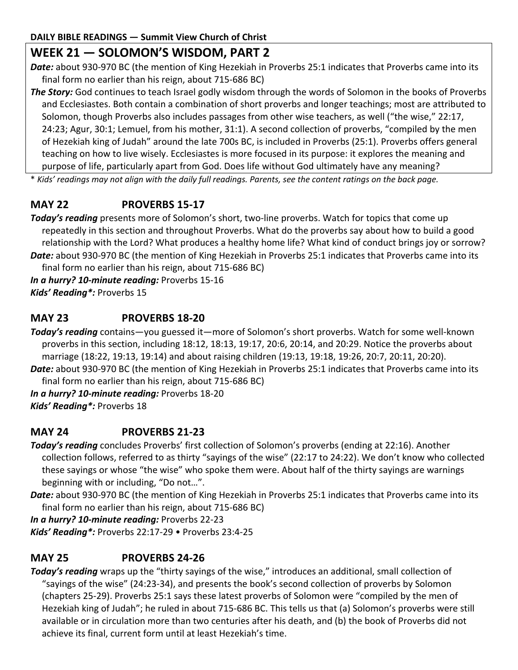# **WEEK 21 — SOLOMON'S WISDOM, PART 2**

*Date:* about 930-970 BC (the mention of King Hezekiah in Proverbs 25:1 indicates that Proverbs came into its final form no earlier than his reign, about 715-686 BC)

*The Story:* God continues to teach Israel godly wisdom through the words of Solomon in the books of Proverbs and Ecclesiastes. Both contain a combination of short proverbs and longer teachings; most are attributed to Solomon, though Proverbs also includes passages from other wise teachers, as well ("the wise," 22:17, 24:23; Agur, 30:1; Lemuel, from his mother, 31:1). A second collection of proverbs, "compiled by the men of Hezekiah king of Judah" around the late 700s BC, is included in Proverbs (25:1). Proverbs offers general teaching on how to live wisely. Ecclesiastes is more focused in its purpose: it explores the meaning and purpose of life, particularly apart from God. Does life without God ultimately have any meaning?

\* *Kids' readings may not align with the daily full readings. Parents, see the content ratings on the back page.*

## **MAY 22 PROVERBS 15-17**

*Today's reading* presents more of Solomon's short, two-line proverbs. Watch for topics that come up repeatedly in this section and throughout Proverbs. What do the proverbs say about how to build a good relationship with the Lord? What produces a healthy home life? What kind of conduct brings joy or sorrow? *Date:* about 930-970 BC (the mention of King Hezekiah in Proverbs 25:1 indicates that Proverbs came into its final form no earlier than his reign, about 715-686 BC)

*In a hurry? 10-minute reading:* Proverbs 15-16 *Kids' Reading\*:* Proverbs 15

### **MAY 23 PROVERBS 18-20**

*Today's reading* contains—you guessed it—more of Solomon's short proverbs. Watch for some well-known proverbs in this section, including 18:12, 18:13, 19:17, 20:6, 20:14, and 20:29. Notice the proverbs about marriage (18:22, 19:13, 19:14) and about raising children (19:13, 19:18, 19:26, 20:7, 20:11, 20:20).

*Date:* about 930-970 BC (the mention of King Hezekiah in Proverbs 25:1 indicates that Proverbs came into its final form no earlier than his reign, about 715-686 BC)

*In a hurry? 10-minute reading:* Proverbs 18-20 *Kids' Reading\*:* Proverbs 18

## **MAY 24 PROVERBS 21-23**

*Today's reading* concludes Proverbs' first collection of Solomon's proverbs (ending at 22:16). Another collection follows, referred to as thirty "sayings of the wise" (22:17 to 24:22). We don't know who collected these sayings or whose "the wise" who spoke them were. About half of the thirty sayings are warnings beginning with or including, "Do not…".

*Date:* about 930-970 BC (the mention of King Hezekiah in Proverbs 25:1 indicates that Proverbs came into its final form no earlier than his reign, about 715-686 BC)

*In a hurry? 10-minute reading:* Proverbs 22-23

*Kids' Reading\*:* Proverbs 22:17-29 • Proverbs 23:4-25

## **MAY 25 PROVERBS 24-26**

*Today's reading* wraps up the "thirty sayings of the wise," introduces an additional, small collection of "sayings of the wise" (24:23-34), and presents the book's second collection of proverbs by Solomon (chapters 25-29). Proverbs 25:1 says these latest proverbs of Solomon were "compiled by the men of Hezekiah king of Judah"; he ruled in about 715-686 BC. This tells us that (a) Solomon's proverbs were still available or in circulation more than two centuries after his death, and (b) the book of Proverbs did not achieve its final, current form until at least Hezekiah's time.